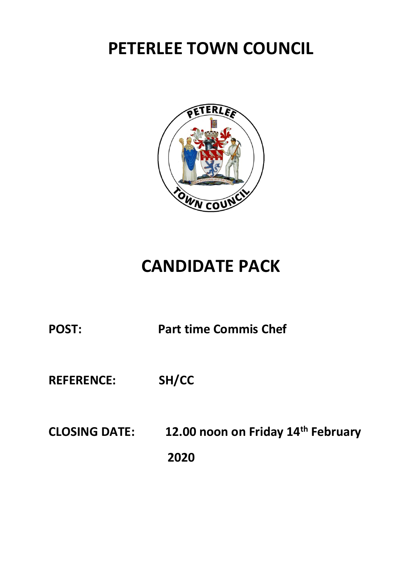

## **CANDIDATE PACK**

**REFERENCE: SH/CC**

**CLOSING DATE: 12.00 noon on Friday 14 th February 2020**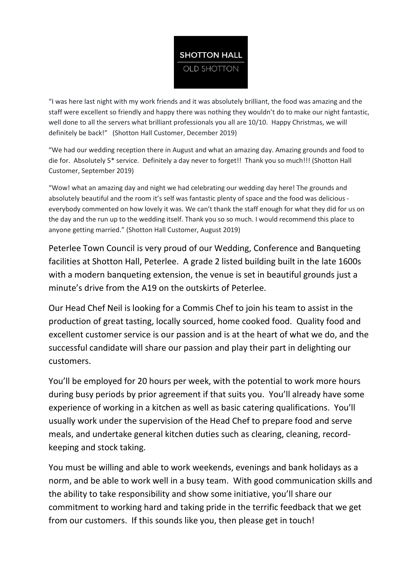

"I was here last night with my work friends and it was absolutely brilliant, the food was amazing and the staff were excellent so friendly and happy there was nothing they wouldn't do to make our night fantastic, well done to all the servers what brilliant professionals you all are 10/10. Happy Christmas, we will definitely be back!" (Shotton Hall Customer, December 2019)

"We had our wedding reception there in August and what an amazing day. Amazing grounds and food to die for. Absolutely 5\* service. Definitely a day never to forget!! Thank you so much!!! (Shotton Hall Customer, September 2019)

"Wow! what an amazing day and night we had celebrating our wedding day here! The grounds and absolutely beautiful and the room it's self was fantastic plenty of space and the food was delicious everybody commented on how lovely it was. We can't thank the staff enough for what they did for us on the day and the run up to the wedding itself. Thank you so so much. I would recommend this place to anyone getting married." (Shotton Hall Customer, August 2019)

Peterlee Town Council is very proud of our Wedding, Conference and Banqueting facilities at Shotton Hall, Peterlee. A grade 2 listed building built in the late 1600s with a modern banqueting extension, the venue is set in beautiful grounds just a minute's drive from the A19 on the outskirts of Peterlee.

Our Head Chef Neil is looking for a Commis Chef to join his team to assist in the production of great tasting, locally sourced, home cooked food. Quality food and excellent customer service is our passion and is at the heart of what we do, and the successful candidate will share our passion and play their part in delighting our customers.

You'll be employed for 20 hours per week, with the potential to work more hours during busy periods by prior agreement if that suits you. You'll already have some experience of working in a kitchen as well as basic catering qualifications. You'll usually work under the supervision of the Head Chef to prepare food and serve meals, and undertake general kitchen duties such as clearing, cleaning, recordkeeping and stock taking.

You must be willing and able to work weekends, evenings and bank holidays as a norm, and be able to work well in a busy team. With good communication skills and the ability to take responsibility and show some initiative, you'll share our commitment to working hard and taking pride in the terrific feedback that we get from our customers. If this sounds like you, then please get in touch!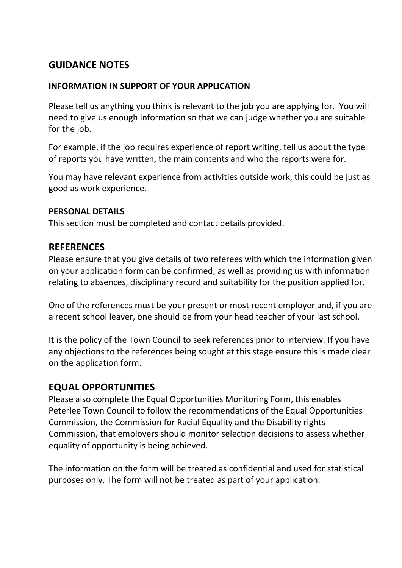### **GUIDANCE NOTES**

#### **INFORMATION IN SUPPORT OF YOUR APPLICATION**

Please tell us anything you think is relevant to the job you are applying for. You will need to give us enough information so that we can judge whether you are suitable for the job.

For example, if the job requires experience of report writing, tell us about the type of reports you have written, the main contents and who the reports were for.

You may have relevant experience from activities outside work, this could be just as good as work experience.

#### **PERSONAL DETAILS**

This section must be completed and contact details provided.

#### **REFERENCES**

Please ensure that you give details of two referees with which the information given on your application form can be confirmed, as well as providing us with information relating to absences, disciplinary record and suitability for the position applied for.

One of the references must be your present or most recent employer and, if you are a recent school leaver, one should be from your head teacher of your last school.

It is the policy of the Town Council to seek references prior to interview. If you have any objections to the references being sought at this stage ensure this is made clear on the application form.

#### **EQUAL OPPORTUNITIES**

Please also complete the Equal Opportunities Monitoring Form, this enables Peterlee Town Council to follow the recommendations of the Equal Opportunities Commission, the Commission for Racial Equality and the Disability rights Commission, that employers should monitor selection decisions to assess whether equality of opportunity is being achieved.

The information on the form will be treated as confidential and used for statistical purposes only. The form will not be treated as part of your application.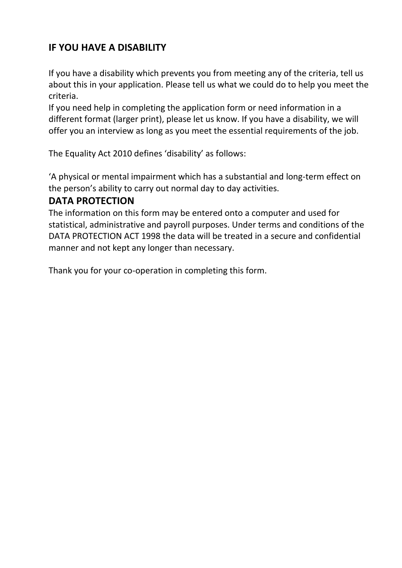## **IF YOU HAVE A DISABILITY**

If you have a disability which prevents you from meeting any of the criteria, tell us about this in your application. Please tell us what we could do to help you meet the criteria.

If you need help in completing the application form or need information in a different format (larger print), please let us know. If you have a disability, we will offer you an interview as long as you meet the essential requirements of the job.

The Equality Act 2010 defines 'disability' as follows:

'A physical or mental impairment which has a substantial and long-term effect on the person's ability to carry out normal day to day activities.

#### **DATA PROTECTION**

The information on this form may be entered onto a computer and used for statistical, administrative and payroll purposes. Under terms and conditions of the DATA PROTECTION ACT 1998 the data will be treated in a secure and confidential manner and not kept any longer than necessary.

Thank you for your co-operation in completing this form.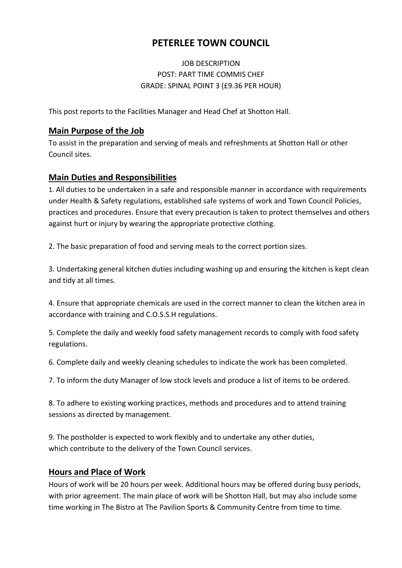#### JOB DESCRIPTION POST: PART TIME COMMIS CHEF GRADE: SPINAL POINT 3 (£9.36 PER HOUR)

This post reports to the Facilities Manager and Head Chef at Shotton Hall.

#### **Main Purpose of the Job**

To assist in the preparation and serving of meals and refreshments at Shotton Hall or other Council sites.

#### **Main Duties and Responsibilities**

1. All duties to be undertaken in a safe and responsible manner in accordance with requirements under Health & Safety regulations, established safe systems of work and Town Council Policies, practices and procedures. Ensure that every precaution is taken to protect themselves and others against hurt or injury by wearing the appropriate protective clothing.

2. The basic preparation of food and serving meals to the correct portion sizes.

3. Undertaking general kitchen duties including washing up and ensuring the kitchen is kept clean and tidy at all times.

4. Ensure that appropriate chemicals are used in the correct manner to clean the kitchen area in accordance with training and C.O.S.S.H regulations.

5. Complete the daily and weekly food safety management records to comply with food safety regulations.

6. Complete daily and weekly cleaning schedules to indicate the work has been completed.

7. To inform the duty Manager of low stock levels and produce a list of items to be ordered.

8. To adhere to existing working practices, methods and procedures and to attend training sessions as directed by management.

9. The postholder is expected to work flexibly and to undertake any other duties, which contribute to the delivery of the Town Council services.

#### **Hours and Place of Work**

Hours of work will be 20 hours per week. Additional hours may be offered during busy periods, with prior agreement. The main place of work will be Shotton Hall, but may also include some time working in The Bistro at The Pavilion Sports & Community Centre from time to time.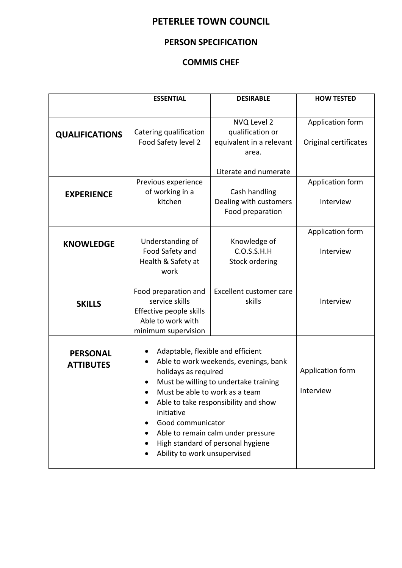#### **PERSON SPECIFICATION**

#### **COMMIS CHEF**

|                                     | <b>ESSENTIAL</b>                                                                                                                                                                                                                                                                                                                                                    | <b>DESIRABLE</b>                                                     | <b>HOW TESTED</b>                         |
|-------------------------------------|---------------------------------------------------------------------------------------------------------------------------------------------------------------------------------------------------------------------------------------------------------------------------------------------------------------------------------------------------------------------|----------------------------------------------------------------------|-------------------------------------------|
| <b>QUALIFICATIONS</b>               | Catering qualification<br>Food Safety level 2                                                                                                                                                                                                                                                                                                                       | NVQ Level 2<br>qualification or<br>equivalent in a relevant<br>area. | Application form<br>Original certificates |
|                                     |                                                                                                                                                                                                                                                                                                                                                                     | Literate and numerate                                                |                                           |
| <b>EXPERIENCE</b>                   | Previous experience<br>of working in a<br>kitchen                                                                                                                                                                                                                                                                                                                   | Cash handling<br>Dealing with customers<br>Food preparation          | Application form<br>Interview             |
| <b>KNOWLEDGE</b>                    | Understanding of<br>Food Safety and<br>Health & Safety at<br>work                                                                                                                                                                                                                                                                                                   | Knowledge of<br>C.O.S.S.H.H<br><b>Stock ordering</b>                 | Application form<br>Interview             |
| <b>SKILLS</b>                       | Food preparation and<br>service skills<br>Effective people skills<br>Able to work with<br>minimum supervision                                                                                                                                                                                                                                                       | Excellent customer care<br>skills                                    | Interview                                 |
| <b>PERSONAL</b><br><b>ATTIBUTES</b> | Adaptable, flexible and efficient<br>Able to work weekends, evenings, bank<br>holidays as required<br>Must be willing to undertake training<br>Must be able to work as a team<br>Able to take responsibility and show<br>initiative<br>Good communicator<br>Able to remain calm under pressure<br>High standard of personal hygiene<br>Ability to work unsupervised |                                                                      | Application form<br>Interview             |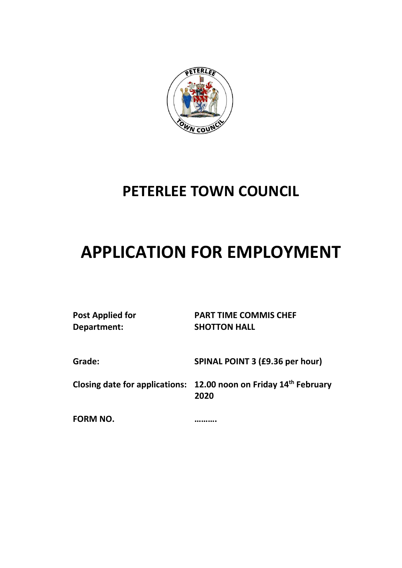

# **APPLICATION FOR EMPLOYMENT**

| <b>Post Applied for</b><br>Department: | <b>PART TIME COMMIS CHEF</b><br><b>SHOTTON HALL</b>                       |
|----------------------------------------|---------------------------------------------------------------------------|
| Grade:                                 | SPINAL POINT 3 (£9.36 per hour)                                           |
|                                        | Closing date for applications: 12.00 noon on Friday 14th February<br>2020 |
| <b>FORM NO.</b>                        |                                                                           |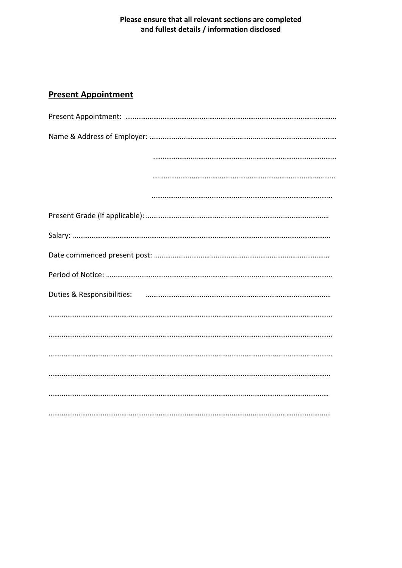#### Please ensure that all relevant sections are completed and fullest details / information disclosed

#### **Present Appointment**

| Duties & Responsibilities: использование и полной составительно полной составительно полной составительно полн |
|----------------------------------------------------------------------------------------------------------------|
|                                                                                                                |
|                                                                                                                |
|                                                                                                                |
|                                                                                                                |
|                                                                                                                |
|                                                                                                                |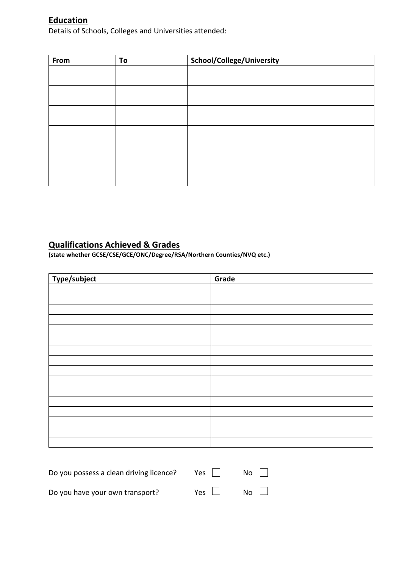#### **Education**

Details of Schools, Colleges and Universities attended:

| From | To | School/College/University |
|------|----|---------------------------|
|      |    |                           |
|      |    |                           |
|      |    |                           |
|      |    |                           |
|      |    |                           |
|      |    |                           |
|      |    |                           |
|      |    |                           |
|      |    |                           |
|      |    |                           |
|      |    |                           |
|      |    |                           |

#### **Qualifications Achieved & Grades**

**(state whether GCSE/CSE/GCE/ONC/Degree/RSA/Northern Counties/NVQ etc.)**

| Type/subject | Grade |
|--------------|-------|
|              |       |
|              |       |
|              |       |
|              |       |
|              |       |
|              |       |
|              |       |
|              |       |
|              |       |
|              |       |
|              |       |
|              |       |
|              |       |
|              |       |
|              |       |
|              |       |

| Do you possess a clean driving licence? | Yes        | No $\Box$ |
|-----------------------------------------|------------|-----------|
| Do you have your own transport?         | Yes $\Box$ | No $\Box$ |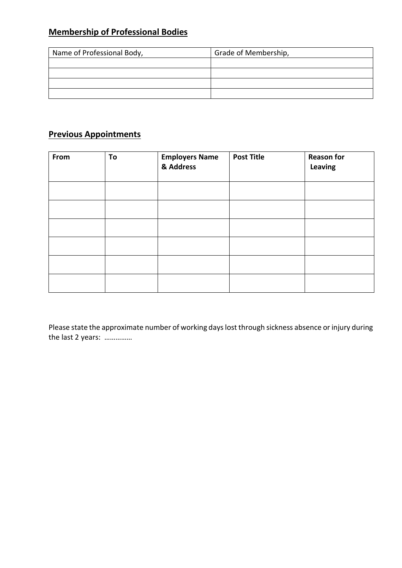## **Membership of Professional Bodies**

| Name of Professional Body, | Grade of Membership, |
|----------------------------|----------------------|
|                            |                      |
|                            |                      |
|                            |                      |
|                            |                      |

## **Previous Appointments**

| From | To | <b>Employers Name</b><br>& Address | <b>Post Title</b> | <b>Reason for</b><br>Leaving |
|------|----|------------------------------------|-------------------|------------------------------|
|      |    |                                    |                   |                              |
|      |    |                                    |                   |                              |
|      |    |                                    |                   |                              |
|      |    |                                    |                   |                              |
|      |    |                                    |                   |                              |
|      |    |                                    |                   |                              |

Please state the approximate number of working days lost through sickness absence or injury during the last 2 years: ……………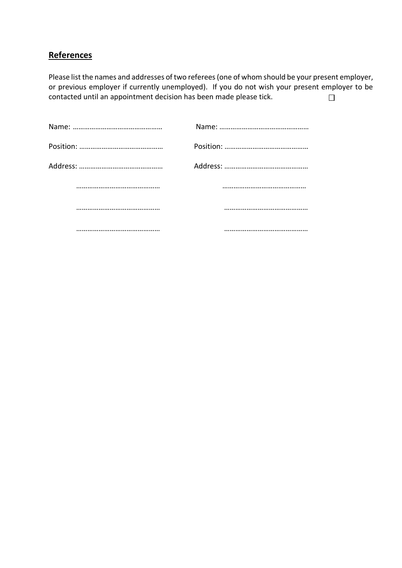#### **References**

Please list the names and addresses of two referees (one of whom should be your present employer, or previous employer if currently unemployed). If you do not wish your present employer to be contacted until an appointment decision has been made please tick.  $\Box$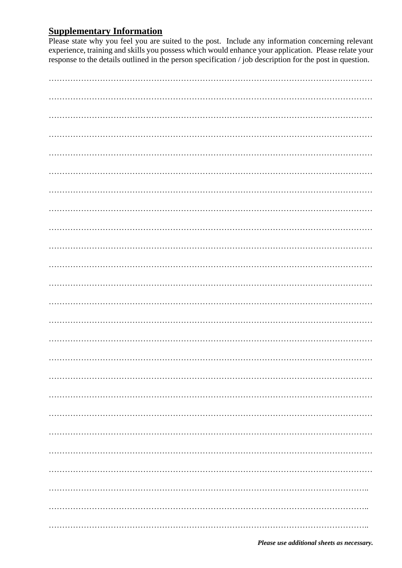## **Supplementary Information**

Please state why you feel you are suited to the post. Include any information concerning relevant experience, training and skills you possess which would enhance your application. Please relate your response to the details outlined in the person specification  $\ell$  job description for the post in question.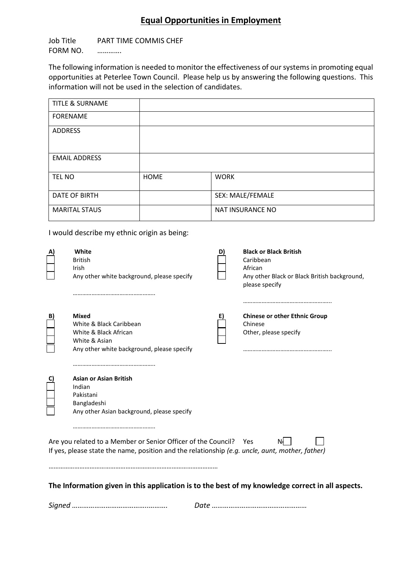## **Equal Opportunities in Employment**

Job Title PART TIME COMMIS CHEF FORM NO. ………….

The following information is needed to monitor the effectiveness of our systems in promoting equal opportunities at Peterlee Town Council. Please help us by answering the following questions. This information will not be used in the selection of candidates.

| <b>TITLE &amp; SURNAME</b> |             |                  |
|----------------------------|-------------|------------------|
| <b>FORENAME</b>            |             |                  |
| <b>ADDRESS</b>             |             |                  |
| <b>EMAIL ADDRESS</b>       |             |                  |
| <b>TEL NO</b>              | <b>HOME</b> | <b>WORK</b>      |
| <b>DATE OF BIRTH</b>       |             | SEX: MALE/FEMALE |
| <b>MARITAL STAUS</b>       |             | NAT INSURANCE NO |

I would describe my ethnic origin as being:

|                                                                                                                                                                      | White<br><b>British</b><br>Irish<br>Any other white background, please specify                                                  |    | <b>Black or Black British</b><br>Caribbean<br>African<br>Any other Black or Black British background,<br>please specify |  |
|----------------------------------------------------------------------------------------------------------------------------------------------------------------------|---------------------------------------------------------------------------------------------------------------------------------|----|-------------------------------------------------------------------------------------------------------------------------|--|
|                                                                                                                                                                      | <b>Mixed</b><br>White & Black Caribbean<br>White & Black African<br>White & Asian<br>Any other white background, please specify | E) | <b>Chinese or other Ethnic Group</b><br>Chinese<br>Other, please specify                                                |  |
|                                                                                                                                                                      | <b>Asian or Asian British</b><br>Indian<br>Pakistani<br>Bangladeshi<br>Any other Asian background, please specify               |    |                                                                                                                         |  |
| Are you related to a Member or Senior Officer of the Council? Yes<br>If yes, please state the name, position and the relationship (e.g. uncle, aunt, mother, father) |                                                                                                                                 |    |                                                                                                                         |  |
| The Information given in this application is to the best of my knowledge correct in all aspects.                                                                     |                                                                                                                                 |    |                                                                                                                         |  |
|                                                                                                                                                                      |                                                                                                                                 |    |                                                                                                                         |  |